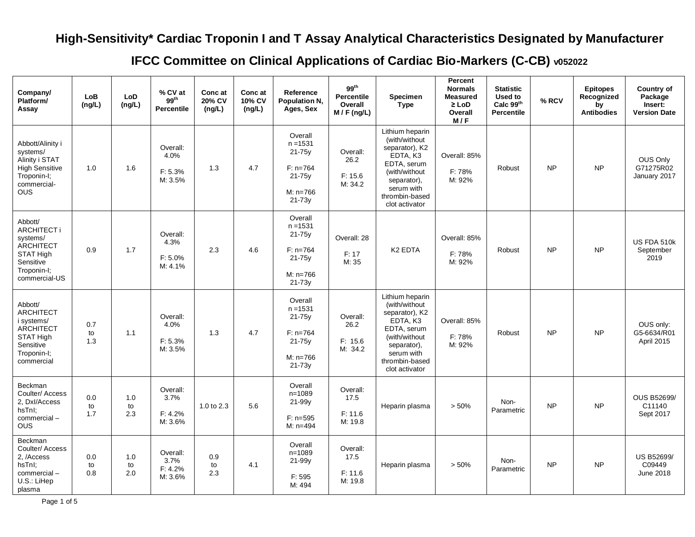## **High-Sensitivity\* Cardiac Troponin I and T Assay Analytical Characteristics Designated by Manufacturer**

**IFCC Committee on Clinical Applications of Cardiac Bio-Markers (C-CB) v052022**

| Company/<br>Platform/<br>Assay                                                                                              | LoB<br>(ng/L)    | LoD<br>(ng/L)    | % CV at<br>99 <sup>th</sup><br><b>Percentile</b> | Conc at<br>20% CV<br>(ng/L) | Conc at<br>10% CV<br>(ng/L) | Reference<br>Population N.<br>Ages, Sex                                               | $99^{th}$<br><b>Percentile</b><br>Overall<br>M / F (ng/L) | <b>Specimen</b><br><b>Type</b>                                                                                                                                  | Percent<br><b>Normals</b><br><b>Measured</b><br>$\geq$ LoD<br>Overall<br>M/F | <b>Statistic</b><br>Used to<br>Calc 99th<br><b>Percentile</b> | % RCV     | <b>Epitopes</b><br>Recognized<br>by<br><b>Antibodies</b> | Country of<br>Package<br>Insert:<br><b>Version Date</b> |
|-----------------------------------------------------------------------------------------------------------------------------|------------------|------------------|--------------------------------------------------|-----------------------------|-----------------------------|---------------------------------------------------------------------------------------|-----------------------------------------------------------|-----------------------------------------------------------------------------------------------------------------------------------------------------------------|------------------------------------------------------------------------------|---------------------------------------------------------------|-----------|----------------------------------------------------------|---------------------------------------------------------|
| Abbott/Alinity i<br>systems/<br>Alinity i STAT<br><b>High Sensitive</b><br>Troponin-I;<br>commercial-<br><b>OUS</b>         | 1.0              | 1.6              | Overall:<br>4.0%<br>F: 5.3%<br>M: 3.5%           | 1.3                         | 4.7                         | Overall<br>$n = 1531$<br>$21-75v$<br>$F: n=764$<br>$21 - 75y$<br>$M: n=766$<br>21-73y | Overall:<br>26.2<br>F: 15.6<br>M: 34.2                    | Lithium heparin<br>(with/without<br>separator), K2<br>EDTA, K3<br>EDTA, serum<br>(with/without<br>separator),<br>serum with<br>thrombin-based<br>clot activator | Overall: 85%<br>F: 78%<br>M: 92%                                             | Robust                                                        | <b>NP</b> | <b>NP</b>                                                | OUS Only<br>G71275R02<br>January 2017                   |
| Abbott/<br>ARCHITECT i<br>systems/<br><b>ARCHITECT</b><br><b>STAT High</b><br>Sensitive<br>Troponin-I;<br>commercial-US     | 0.9              | 1.7              | Overall:<br>4.3%<br>F: 5.0%<br>M: 4.1%           | 2.3                         | 4.6                         | Overall<br>$n = 1531$<br>21-75y<br>$F: n=764$<br>$21-75y$<br>$M: n=766$<br>$21 - 73y$ | Overall: 28<br>F: 17<br>M: 35                             | K <sub>2</sub> EDTA                                                                                                                                             | Overall: 85%<br>F: 78%<br>M: 92%                                             | Robust                                                        | <b>NP</b> | <b>NP</b>                                                | US FDA 510k<br>September<br>2019                        |
| Abbott/<br><b>ARCHITECT</b><br>i systems/<br><b>ARCHITECT</b><br><b>STAT High</b><br>Sensitive<br>Troponin-I;<br>commercial | 0.7<br>to<br>1.3 | 1.1              | Overall:<br>4.0%<br>F: 5.3%<br>M: 3.5%           | 1.3                         | 4.7                         | Overall<br>$n = 1531$<br>$21-75y$<br>$F: n=764$<br>21-75y<br>$M: n=766$<br>21-73y     | Overall:<br>26.2<br>F: 15.6<br>M: 34.2                    | Lithium heparin<br>(with/without<br>separator), K2<br>EDTA, K3<br>EDTA, serum<br>(with/without<br>separator),<br>serum with<br>thrombin-based<br>clot activator | Overall: 85%<br>F: 78%<br>M: 92%                                             | Robust                                                        | <b>NP</b> | <b>NP</b>                                                | OUS only:<br>G5-6634/R01<br>April 2015                  |
| Beckman<br>Coulter/Access<br>2, Dxl/Access<br>hsTnI;<br>commercial-<br><b>OUS</b>                                           | 0.0<br>to<br>1.7 | 1.0<br>to<br>2.3 | Overall:<br>3.7%<br>F: 4.2%<br>M: 3.6%           | 1.0 to 2.3                  | 5.6                         | Overall<br>$n = 1089$<br>21-99y<br>$F: n=595$<br>$M: n=494$                           | Overall:<br>17.5<br>F: 11.6<br>M: 19.8                    | Heparin plasma                                                                                                                                                  | > 50%                                                                        | Non-<br>Parametric                                            | <b>NP</b> | <b>NP</b>                                                | <b>OUS B52699/</b><br>C11140<br>Sept 2017               |
| Beckman<br>Coulter/ Access<br>2, /Access<br>hsTnI;<br>commercial-<br>U.S.: LiHep<br>plasma                                  | 0.0<br>to<br>0.8 | 1.0<br>to<br>2.0 | Overall:<br>3.7%<br>F: 4.2%<br>M: 3.6%           | 0.9<br>to<br>2.3            | 4.1                         | Overall<br>$n = 1089$<br>21-99y<br>F: 595<br>M: 494                                   | Overall:<br>17.5<br>F: 11.6<br>M: 19.8                    | Heparin plasma                                                                                                                                                  | $> 50\%$                                                                     | Non-<br>Parametric                                            | <b>NP</b> | <b>NP</b>                                                | <b>US B52699/</b><br>C09449<br>June 2018                |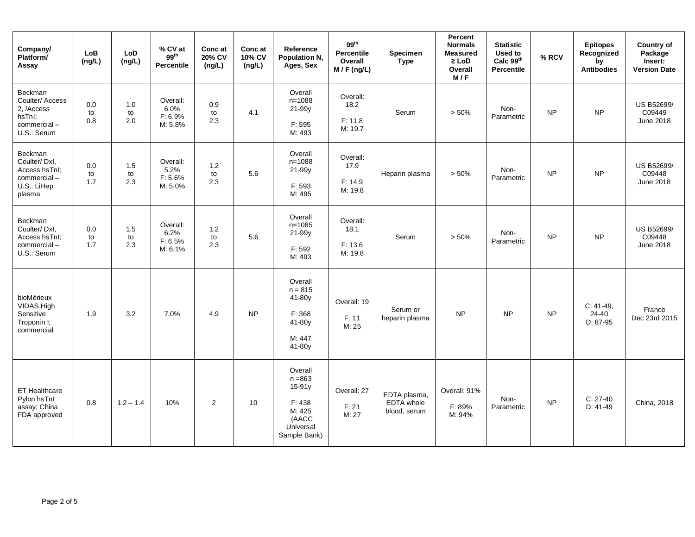| Company/<br>Platform/<br>Assay                                                          | <b>LoB</b><br>(ng/L) | LoD<br>(ng/L)    | % CV at<br>$99^{th}$<br>Percentile     | Conc at<br>20% CV<br>(ng/L) | Conc at<br>10% CV<br>(ng/L) | Reference<br>Population N,<br>Ages, Sex                                                    | 99 <sup>th</sup><br><b>Percentile</b><br>Overall<br>$M / F$ (ng/L) | Specimen<br><b>Type</b>                           | Percent<br><b>Normals</b><br><b>Measured</b><br>$\geq$ LoD<br>Overall<br>M/F | <b>Statistic</b><br>Used to<br>Calc 99th<br>Percentile | % RCV     | <b>Epitopes</b><br>Recognized<br>by<br><b>Antibodies</b> | Country of<br>Package<br>Insert:<br><b>Version Date</b> |
|-----------------------------------------------------------------------------------------|----------------------|------------------|----------------------------------------|-----------------------------|-----------------------------|--------------------------------------------------------------------------------------------|--------------------------------------------------------------------|---------------------------------------------------|------------------------------------------------------------------------------|--------------------------------------------------------|-----------|----------------------------------------------------------|---------------------------------------------------------|
| <b>Beckman</b><br>Coulter/ Access<br>2, /Access<br>hsTnI;<br>commercial-<br>U.S.: Serum | 0.0<br>to<br>0.8     | 1.0<br>to<br>2.0 | Overall:<br>6.0%<br>F: 6.9%<br>M: 5.8% | 0.9<br>to<br>2.3            | 4.1                         | Overall<br>$n = 1088$<br>21-99y<br>F: 595<br>M: 493                                        | Overall:<br>18.2<br>F: 11.8<br>M: 19.7                             | Serum                                             | > 50%                                                                        | Non-<br>Parametric                                     | <b>NP</b> | <b>NP</b>                                                | <b>US B52699/</b><br>C09449<br>June 2018                |
| Beckman<br>Coulter/Dxl,<br>Access hsTnI;<br>commercial-<br>U.S.: LiHep<br>plasma        | 0.0<br>to<br>1.7     | 1.5<br>to<br>2.3 | Overall:<br>5.2%<br>F: 5.6%<br>M: 5.0% | 1.2<br>to<br>2.3            | 5.6                         | Overall<br>$n = 1088$<br>21-99y<br>F: 593<br>M: 495                                        | Overall:<br>17.9<br>F: 14.9<br>M: 19.8                             | Heparin plasma                                    | > 50%                                                                        | Non-<br>Parametric                                     | <b>NP</b> | <b>NP</b>                                                | US B52699/<br>C09448<br>June 2018                       |
| Beckman<br>Coulter/Dxl.<br>Access hsTnI;<br>commercial-<br>U.S.: Serum                  | 0.0<br>to<br>1.7     | 1.5<br>to<br>2.3 | Overall:<br>6.2%<br>F: 6.5%<br>M: 6.1% | 1.2<br>to<br>2.3            | 5.6                         | Overall<br>$n = 1085$<br>21-99y<br>F: 592<br>M: 493                                        | Overall:<br>18.1<br>F: 13.6<br>M: 19.8                             | Serum                                             | > 50%                                                                        | Non-<br>Parametric                                     | <b>NP</b> | <b>NP</b>                                                | <b>US B52699/</b><br>C09448<br>June 2018                |
| bioMérieux<br>VIDAS High<br>Sensitive<br>Troponin I;<br>commercial                      | 1.9                  | 3.2              | 7.0%                                   | 4.9                         | <b>NP</b>                   | Overall<br>$n = 815$<br>41-80y<br>F: 368<br>41-80y<br>M: 447<br>41-80y                     | Overall: 19<br>F: 11<br>M: 25                                      | Serum or<br>heparin plasma                        | <b>NP</b>                                                                    | <b>NP</b>                                              | <b>NP</b> | $C: 41-49,$<br>24-40<br>D: 87-95                         | France<br>Dec 23rd 2015                                 |
| ET Healthcare<br>Pylon hsTnl<br>assay; China<br>FDA approved                            | 0.8                  | $1.2 - 1.4$      | 10%                                    | 2                           | 10                          | Overall<br>$n = 863$<br>$15-91y$<br>F: 438<br>M: 425<br>(AACC<br>Universal<br>Sample Bank) | Overall: 27<br>F: 21<br>M: 27                                      | EDTA plasma,<br><b>EDTA</b> whole<br>blood, serum | Overall: 91%<br>F: 89%<br>M: 94%                                             | Non-<br>Parametric                                     | <b>NP</b> | $C: 27-40$<br>$D: 41-49$                                 | China, 2018                                             |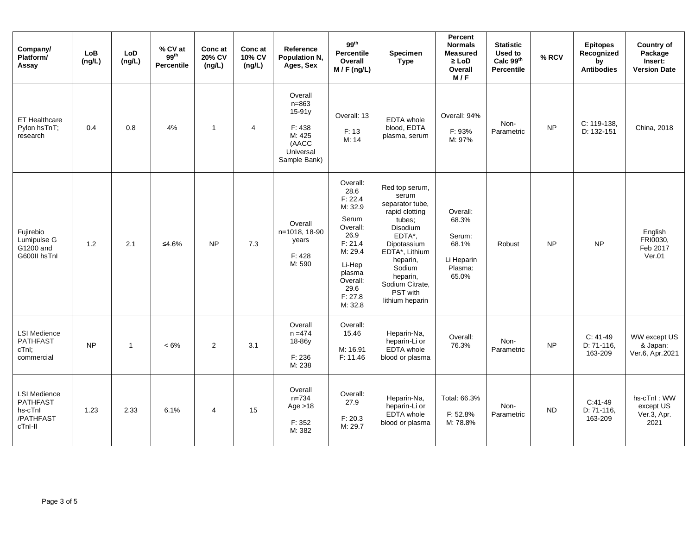| Company/<br>Platform/<br>Assay                                            | LoB<br>(ng/L) | <b>LoD</b><br>(ng/L) | % CV at<br>99 <sup>th</sup><br><b>Percentile</b> | Conc at<br>20% CV<br>(ng/L) | Conc at<br>10% CV<br>(ng/L) | Reference<br>Population N,<br>Ages, Sex                                                  | 99 <sup>th</sup><br>Percentile<br>Overall<br>$M / F$ (ng/L)                                                                                             | Specimen<br>Type                                                                                                                                                                                                  | Percent<br><b>Normals</b><br><b>Measured</b><br>$\geq$ LoD<br>Overall<br>M/F | <b>Statistic</b><br>Used to<br>Calc 99th<br>Percentile | % RCV     | <b>Epitopes</b><br>Recognized<br>by<br><b>Antibodies</b> | Country of<br>Package<br>Insert:<br><b>Version Date</b> |
|---------------------------------------------------------------------------|---------------|----------------------|--------------------------------------------------|-----------------------------|-----------------------------|------------------------------------------------------------------------------------------|---------------------------------------------------------------------------------------------------------------------------------------------------------|-------------------------------------------------------------------------------------------------------------------------------------------------------------------------------------------------------------------|------------------------------------------------------------------------------|--------------------------------------------------------|-----------|----------------------------------------------------------|---------------------------------------------------------|
| ET Healthcare<br>Pylon hsTnT;<br>research                                 | 0.4           | 0.8                  | 4%                                               | $\mathbf{1}$                | $\overline{4}$              | Overall<br>$n = 863$<br>15-91y<br>F: 438<br>M: 425<br>(AACC<br>Universal<br>Sample Bank) | Overall: 13<br>F: 13<br>M: 14                                                                                                                           | <b>EDTA</b> whole<br>blood, EDTA<br>plasma, serum                                                                                                                                                                 | Overall: 94%<br>F: 93%<br>M: 97%                                             | Non-<br>Parametric                                     | <b>NP</b> | C: 119-138,<br>D: 132-151                                | China, 2018                                             |
| Fujirebio<br>Lumipulse G<br>G1200 and<br>G600II hsTnl                     | 1.2           | 2.1                  | ≤4.6%                                            | <b>NP</b>                   | 7.3                         | Overall<br>n=1018, 18-90<br>years<br>F: 428<br>M: 590                                    | Overall:<br>28.6<br>F: 22.4<br>M: 32.9<br>Serum<br>Overall:<br>26.9<br>F: 21.4<br>M: 29.4<br>Li-Hep<br>plasma<br>Overall:<br>29.6<br>F: 27.8<br>M: 32.8 | Red top serum,<br>serum<br>separator tube,<br>rapid clotting<br>tubes:<br>Disodium<br>EDTA*,<br>Dipotassium<br>EDTA*, Lithium<br>heparin,<br>Sodium<br>heparin,<br>Sodium Citrate,<br>PST with<br>lithium heparin | Overall:<br>68.3%<br>Serum:<br>68.1%<br>Li Heparin<br>Plasma:<br>65.0%       | Robust                                                 | <b>NP</b> | <b>NP</b>                                                | English<br>FRI0030.<br>Feb 2017<br>Ver.01               |
| <b>LSI Medience</b><br><b>PATHFAST</b><br>cTnl;<br>commercial             | <b>NP</b>     | $\mathbf{1}$         | $< 6\%$                                          | 2                           | 3.1                         | Overall<br>$n = 474$<br>18-86y<br>F: 236<br>M: 238                                       | Overall:<br>15.46<br>M: 16.91<br>F: 11.46                                                                                                               | Heparin-Na,<br>heparin-Li or<br>EDTA whole<br>blood or plasma                                                                                                                                                     | Overall:<br>76.3%                                                            | Non-<br>Parametric                                     | <b>NP</b> | $C: 41-49$<br>$D: 71-116.$<br>163-209                    | WW except US<br>& Japan:<br>Ver.6, Apr.2021             |
| <b>LSI Medience</b><br><b>PATHFAST</b><br>hs-cTnl<br>/PATHFAST<br>cTnl-II | 1.23          | 2.33                 | 6.1%                                             | 4                           | 15                          | Overall<br>$n = 734$<br>Age $>18$<br>F: 352<br>M: 382                                    | Overall:<br>27.9<br>F: 20.3<br>M: 29.7                                                                                                                  | Heparin-Na,<br>heparin-Li or<br>EDTA whole<br>blood or plasma                                                                                                                                                     | Total: 66.3%<br>F: 52.8%<br>M: 78.8%                                         | Non-<br>Parametric                                     | <b>ND</b> | $C:41-49$<br>$D: 71-116,$<br>163-209                     | hs-cTnI: WW<br>except US<br>Ver.3, Apr.<br>2021         |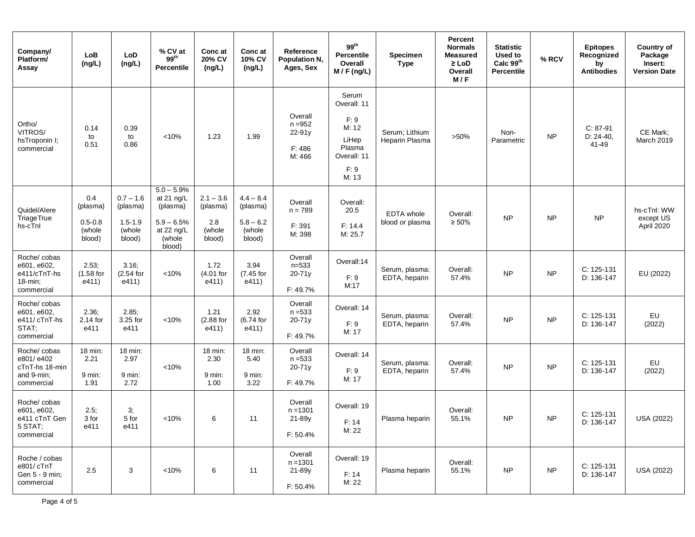| Company/<br>Platform/<br>Assay                                             | LoB<br>(ng/L)                                      | LoD<br>(ng/L)                                              | % CV at<br>$99^{th}$<br><b>Percentile</b>                                                | Conc at<br>20% CV<br>(ng/L)                        | Conc at<br>10% CV<br>(ng/L)                                | Reference<br>Population N,<br>Ages, Sex            | 99 <sup>th</sup><br><b>Percentile</b><br>Overall<br>$M / F$ (ng/L)                       | Specimen<br><b>Type</b>              | Percent<br><b>Normals</b><br><b>Measured</b><br>$\geq$ LoD<br>Overall<br>M/F | <b>Statistic</b><br>Used to<br>Calc 99th<br><b>Percentile</b> | % RCV     | <b>Epitopes</b><br>Recognized<br>by<br><b>Antibodies</b> | Country of<br>Package<br>Insert:<br><b>Version Date</b> |
|----------------------------------------------------------------------------|----------------------------------------------------|------------------------------------------------------------|------------------------------------------------------------------------------------------|----------------------------------------------------|------------------------------------------------------------|----------------------------------------------------|------------------------------------------------------------------------------------------|--------------------------------------|------------------------------------------------------------------------------|---------------------------------------------------------------|-----------|----------------------------------------------------------|---------------------------------------------------------|
| Ortho/<br>VITROS/<br>hsTroponin I;<br>commercial                           | 0.14<br>to<br>0.51                                 | 0.39<br>to<br>0.86                                         | < 10%                                                                                    | 1.23                                               | 1.99                                                       | Overall<br>$n = 952$<br>22-91y<br>F: 486<br>M: 466 | Serum<br>Overall: 11<br>F: 9<br>M: 12<br>LiHep<br>Plasma<br>Overall: 11<br>F: 9<br>M: 13 | Serum; Lithium<br>Heparin Plasma     | $>50\%$                                                                      | Non-<br>Parametric                                            | <b>NP</b> | $C: 87-91$<br>D: 24-40,<br>41-49                         | CE Mark;<br><b>March 2019</b>                           |
| Quidel/Alere<br>TriageTrue<br>hs-cTnl                                      | 0.4<br>(plasma)<br>$0.5 - 0.8$<br>(whole<br>blood) | $0.7 - 1.6$<br>(plasma)<br>$1.5 - 1.9$<br>(whole<br>blood) | $5.0 - 5.9%$<br>at 21 ng/L<br>(plasma)<br>$5.9 - 6.5%$<br>at 22 ng/L<br>(whole<br>blood) | $2.1 - 3.6$<br>(plasma)<br>2.8<br>(whole<br>blood) | $4.4 - 8.4$<br>(plasma)<br>$5.8 - 6.2$<br>(whole<br>blood) | Overall<br>$n = 789$<br>F: 391<br>M: 398           | Overall:<br>20.5<br>F: 14.4<br>M: 25.7                                                   | <b>EDTA</b> whole<br>blood or plasma | Overall:<br>$\geq 50\%$                                                      | <b>NP</b>                                                     | <b>NP</b> | <b>NP</b>                                                | hs-cTnl: WW<br>except US<br>April 2020                  |
| Roche/cobas<br>e601, e602,<br>e411/cTnT-hs<br>18-min;<br>commercial        | 2.53:<br>$(1.58$ for<br>e411)                      | $3.16$ ;<br>$(2.54$ for<br>e411)                           | < 10%                                                                                    | 1.72<br>(4.01 for<br>e411)                         | 3.94<br>(7.45 for<br>e411)                                 | Overall<br>$n = 533$<br>$20 - 71y$<br>F: 49.7%     | Overall:14<br>F: 9<br>M:17                                                               | Serum, plasma:<br>EDTA, heparin      | Overall:<br>57.4%                                                            | <b>NP</b>                                                     | <b>NP</b> | $C: 125-131$<br>D: 136-147                               | EU (2022)                                               |
| Roche/ cobas<br>e601, e602,<br>e411/ cTnT-hs<br>STAT:<br>commercial        | 2.36;<br>2.14 for<br>e411                          | 2.85:<br>3.25 for<br>e411                                  | < 10%                                                                                    | 1.21<br>(2.88 for<br>e411)                         | 2.92<br>(6.74 for<br>e411)                                 | Overall<br>$n = 533$<br>$20 - 71y$<br>F: 49.7%     | Overall: 14<br>F: 9<br>M: 17                                                             | Serum, plasma:<br>EDTA, heparin      | Overall:<br>57.4%                                                            | <b>NP</b>                                                     | <b>NP</b> | C: 125-131<br>D: 136-147                                 | EU<br>(2022)                                            |
| Roche/ cobas<br>e801/e402<br>cTnT-hs 18-min<br>and 9-min;<br>commercial    | 18 min:<br>2.21<br>9 min:<br>1.91                  | 18 min:<br>2.97<br>9 min:<br>2.72                          | < 10%                                                                                    | 18 min:<br>2.30<br>9 min:<br>1.00                  | 18 min:<br>5.40<br>9 min:<br>3.22                          | Overall<br>$n = 533$<br>$20 - 71y$<br>F: 49.7%     | Overall: 14<br>F: 9<br>M: 17                                                             | Serum, plasma:<br>EDTA, heparin      | Overall:<br>57.4%                                                            | <b>NP</b>                                                     | <b>NP</b> | C: 125-131<br>D: 136-147                                 | EU<br>(2022)                                            |
| Roche/ cobas<br>e601, e602,<br>e411 cTnT Gen<br>$5$ $SHAI$ ;<br>commercial | 2.5;<br>3 for<br>e411                              | 3;<br>5 for<br>e411                                        | < 10%                                                                                    | 6                                                  | 11                                                         | Overall<br>$n = 1301$<br>$21-89y$<br>F: 50.4%      | Overall: 19<br>F: 14<br>M: 22                                                            | Plasma heparin                       | Overall:<br>55.1%                                                            | <b>NP</b>                                                     | <b>NP</b> | C: 125-131<br>D: 136-147                                 | <b>USA (2022)</b>                                       |
| Roche / cobas<br>e801/ cTnT<br>Gen 5 - 9 min;<br>commercial                | 2.5                                                | 3                                                          | < 10%                                                                                    | 6                                                  | 11                                                         | Overall<br>$n = 1301$<br>21-89y<br>F: 50.4%        | Overall: 19<br>F: 14<br>M: 22                                                            | Plasma heparin                       | Overall:<br>55.1%                                                            | <b>NP</b>                                                     | <b>NP</b> | C: 125-131<br>D: 136-147                                 | <b>USA (2022)</b>                                       |